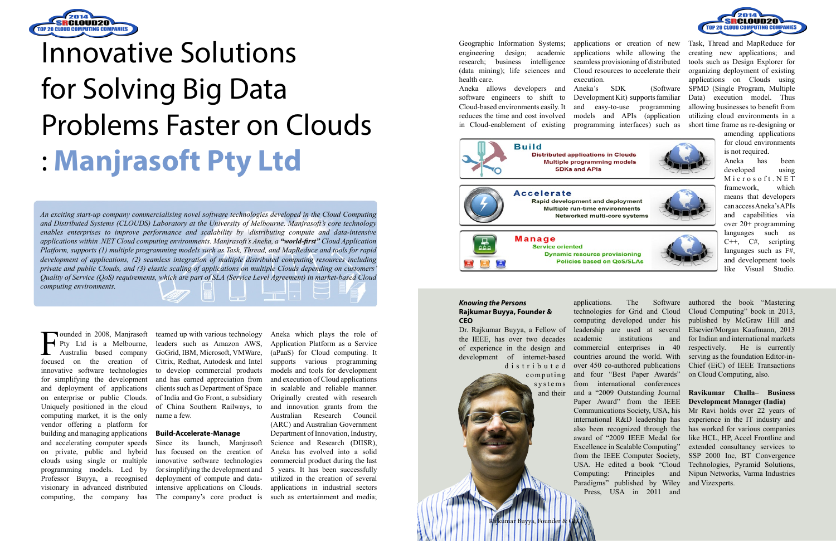

# Innovative Solutions for Solving Big Data Problems Faster on Clouds : **Manjrasoft Pty Ltd**

*An exciting start-up company commercialising novel software technologies developed in the Cloud Computing and Distributed Systems (CLOUDS) Laboratory at the University of Melbourne, Manjrasoft's core technology enables enterprises to improve performance and scalability by \distributing compute and data-intensive applications within .NET Cloud computing environments. Manjrasoft's Aneka, a "world-first" Cloud Application Platform, supports (1) multiple programming models such as Task, Thread, and MapReduce and tools for rapid development of applications, (2) seamless integration of multiple distributed computing resources including private and public Clouds, and (3) elastic scaling of applications on multiple Clouds depending on customers' Quality of Service (QoS) requirements, which are part of SLA (Service Level Agreement) in market-based Cloud computing environments.*

Founded in 2008, Manjrasoft<br>Pty Ltd is a Melbourne,<br>Australia based company<br>focused on the creation of Pty Ltd is a Melbourne, Australia based company focused on the creation of innovative software technologies for simplifying the development and deployment of applications on enterprise or public Clouds. Uniquely positioned in the cloud computing market, it is the only vendor offering a platform for building and managing applications and accelerating computer speeds on private, public and hybrid clouds using single or multiple programming models. Led by Professor Buyya, a recognised visionary in advanced distributed computing, the company has

teamed up with various technology GoGrid, IBM, Microsoft, VMWare, Citrix, Redhat, Autodesk and Intel to develop commercial products and has earned appreciation from clients such as Department of Space of India and Go Front, a subsidiary of China Southern Railways, to name a few.

#### **Build-Accelerate-Manage**

the IEEE, has over two decades of experience in the design and development of internet-based d i s t r i b u t e d

leaders such as Amazon AWS, Application Platform as a Service Since its launch, Manjrasoft Science and Research (DIISR), Aneka which plays the role of (aPaaS) for Cloud computing. It supports various programming models and tools for development and execution of Cloud applications in scalable and reliable manner. Originally created with research and innovation grants from the Australian Research Council (ARC) and Australian Government Department of Innovation, Industry, commercial product during the last 5 years. It has been successfully utilized in the creation of several applications in industrial sectors

 $\Box$ 

has focused on the creation of Aneka has evolved into a solid innovative software technologies for simplifying the development and deployment of compute and dataintensive applications on Clouds. The company's core product is such as entertainment and media;

engineering design; academic applications while allowing the research; business intelligence seamless provisioning of distributed (data mining); life sciences and health care.

Aneka allows developers and Aneka's SDK (Software software engineers to shift to Development Kit) supports familiar Cloud-based environments easily. It and easy-to-use programming reduces the time and cost involved models and APIs (application in Cloud-enablement of existing programming interfaces) such as

Cloud resources to accelerate their

execution.



Geographic Information Systems; applications or creation of new Task, Thread and MapReduce for creating new applications; and tools such as Design Explorer for organizing deployment of existing applications on Clouds using SPMD (Single Program, Multiple Data) execution model. Thus allowing businesses to benefit from utilizing cloud environments in a short time frame as re-designing or

amending applications for cloud environments is not required.

Aneka has been developed using M i c r o s o f t . N E T framework, which means that developers can access Aneka's APIs and capabilities via over 20+ programming languages such as C++, C#, scripting languages such as F#, and development tools like Visual Studio.

#### *Knowing the Persons* **Rajkumar Buyya, Founder & CEO**



kumar Buyya, Founder

Dr. Rajkumar Buyya, a Fellow of leadership are used at several applications. The Software technologies for Grid and Cloud computing developed under his academic institutions and commercial enterprises in 40 countries around the world. With over 450 co-authored publications and four "Best Paper Awards" from international conferences and a "2009 Outstanding Journal Paper Award" from the IEEE international R&D leadership has Excellence in Scalable Computing" from the IEEE Computer Society, USA. He edited a book "Cloud Computing: Principles and Paradigms" published by Wiley Press, USA in 2011 and



authored the book "Mastering Cloud Computing" book in 2013, published by McGraw Hill and Elsevier/Morgan Kaufmann, 2013 for Indian and international markets respectively. He is currently serving as the foundation Editor-in-Chief (EiC) of IEEE Transactions on Cloud Computing, also.

Communications Society, USA, his Mr Ravi holds over 22 years of also been recognized through the has worked for various companies award of "2009 IEEE Medal for like HCL, HP, Accel Frontline and experience in the IT industry and extended consultancy services to SSP 2000 Inc, BT Convergence Technologies, Pyramid Solutions, Nipun Networks, Varma Industries and Vizexperts.

### **Ravikumar Challa– Business Development Manager (India)**